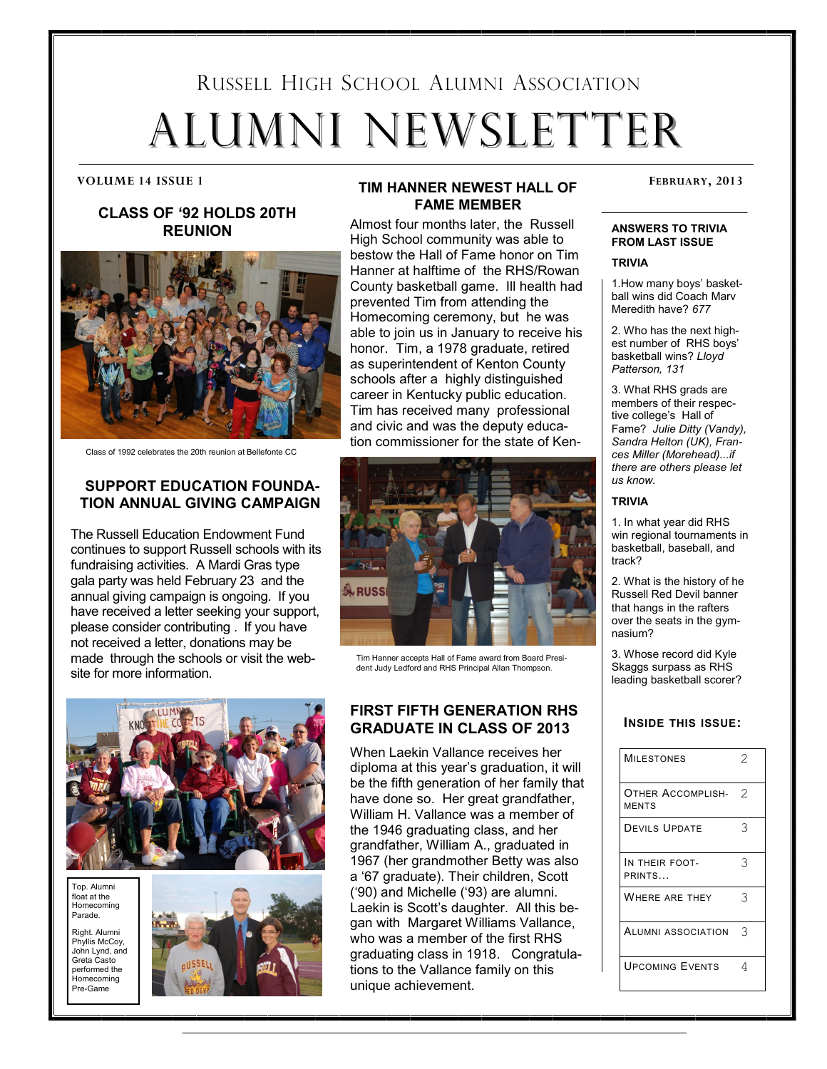# RUSSELL HIGH SCHOOL ALUMNI ASSOCIATION ALUMNI NEWSLETTER

#### **CLASS OF '92 HOLDS 20TH REUNION**



Class of 1992 celebrates the 20th reunion at Bellefonte CC

#### **SUPPORT EDUCATION FOUNDA-TION ANNUAL GIVING CAMPAIGN**

The Russell Education Endowment Fund continues to support Russell schools with its fundraising activities. A Mardi Gras type gala party was held February 23 and the annual giving campaign is ongoing. If you have received a letter seeking your support, please consider contributing . If you have not received a letter, donations may be made through the schools or visit the website for more information.

#### **TIM HANNER NEWEST HALL OF** FEBRUARY, 2013 **FAME MEMBER**

Almost four months later, the Russell High School community was able to bestow the Hall of Fame honor on Tim Hanner at halftime of the RHS/Rowan County basketball game. Ill health had prevented Tim from attending the Homecoming ceremony, but he was able to join us in January to receive his honor. Tim, a 1978 graduate, retired as superintendent of Kenton County schools after a highly distinguished career in Kentucky public education. Tim has received many professional and civic and was the deputy education commissioner for the state of Ken-



Tim Hanner accepts Hall of Fame award from Board President Judy Ledford and RHS Principal Allan Thompson.



Top. Alumni float at the Homecoming Parade.

Right. Alumni Phyllis McCoy, John Lynd, and Greta Casto performed the Homecoming Pre-Game



#### **FIRST FIFTH GENERATION RHS GRADUATE IN CLASS OF 2013**

When Laekin Vallance receives her diploma at this year's graduation, it will be the fifth generation of her family that have done so. Her great grandfather, William H. Vallance was a member of the 1946 graduating class, and her grandfather, William A., graduated in 1967 (her grandmother Betty was also a '67 graduate). Their children, Scott ('90) and Michelle ('93) are alumni. Laekin is Scott's daughter. All this began with Margaret Williams Vallance, who was a member of the first RHS graduating class in 1918. Congratulations to the Vallance family on this unique achievement.

#### **ANSWERS TO TRIVIA FROM LAST ISSUE**

**TRIVIA**

1.How many boys' basketball wins did Coach Marv Meredith have? *677*

2. Who has the next highest number of RHS boys' basketball wins? *Lloyd Patterson, 131*

3. What RHS grads are members of their respective college's Hall of Fame? *Julie Ditty (Vandy), Sandra Helton (UK), Frances Miller (Morehead)...if there are others please let us know.*

#### **TRIVIA**

1. In what year did RHS win regional tournaments in basketball, baseball, and track?

2. What is the history of he Russell Red Devil banner that hangs in the rafters over the seats in the gymnasium?

3. Whose record did Kyle Skaggs surpass as RHS leading basketball scorer?

#### **INSIDE THIS ISSUE:**

| <b>MILESTONES</b>                 | $\mathcal{D}$ |
|-----------------------------------|---------------|
| Other Accomplish-<br><b>MENTS</b> | 2             |
| <b>DEVILS UPDATE</b>              | 3             |
| IN THEIR FOOT-<br>PRINTS          | 3             |
| WHERE ARE THEY                    | 3             |
| <b>ALUMNI ASSOCIATION</b>         | 3             |
| <b>UPCOMING EVENTS</b>            | 4             |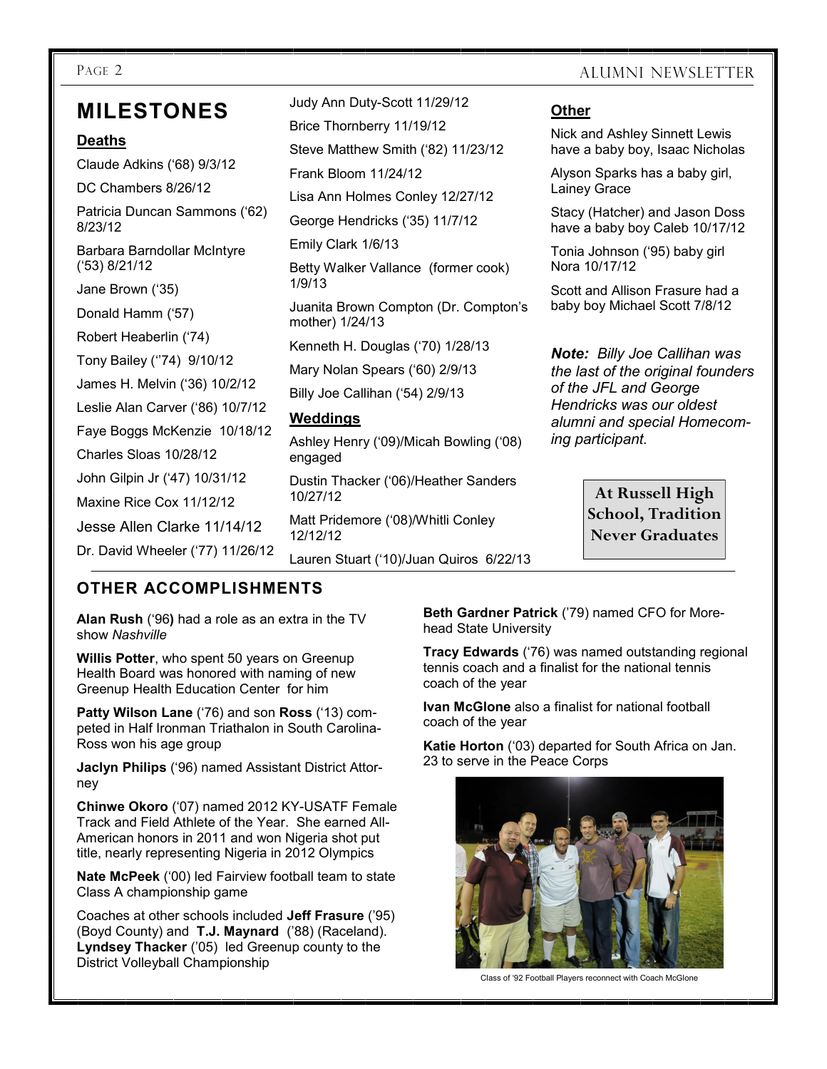# **MILESTONES**

#### **Deaths**

Claude Adkins ('68) 9/3/12 DC Chambers 8/26/12 Patricia Duncan Sammons ('62) 8/23/12 Barbara Barndollar McIntyre ('53) 8/21/12 Jane Brown ('35) Donald Hamm ('57) Robert Heaberlin ('74) Tony Bailey (''74) 9/10/12 James H. Melvin ('36) 10/2/12 Leslie Alan Carver ('86) 10/7/12 Faye Boggs McKenzie 10/18/12 Charles Sloas 10/28/12 John Gilpin Jr ('47) 10/31/12 Maxine Rice Cox 11/12/12 Jesse Allen Clarke 11/14/12 Dr. David Wheeler ('77) 11/26/12

Judy Ann Duty-Scott 11/29/12 Brice Thornberry 11/19/12 Steve Matthew Smith ('82) 11/23/12 Frank Bloom 11/24/12 Lisa Ann Holmes Conley 12/27/12 George Hendricks ('35) 11/7/12 Emily Clark 1/6/13 Betty Walker Vallance (former cook) 1/9/13 Juanita Brown Compton (Dr. Compton's mother) 1/24/13 Kenneth H. Douglas ('70) 1/28/13 Mary Nolan Spears ('60) 2/9/13 Billy Joe Callihan ('54) 2/9/13 **Weddings** Ashley Henry ('09)/Micah Bowling ('08) engaged Dustin Thacker ('06)/Heather Sanders 10/27/12

Matt Pridemore ('08)/Whitli Conley 12/12/12

Lauren Stuart ('10)/Juan Quiros 6/22/13

#### PAGE 2 ALUMNI NEWSLETTER

#### **Other**

Nick and Ashley Sinnett Lewis have a baby boy, Isaac Nicholas

Alyson Sparks has a baby girl, Lainey Grace

Stacy (Hatcher) and Jason Doss have a baby boy Caleb 10/17/12

Tonia Johnson ('95) baby girl Nora 10/17/12

Scott and Allison Frasure had a baby boy Michael Scott 7/8/12

*Note: Billy Joe Callihan was the last of the original founders of the JFL and George Hendricks was our oldest alumni and special Homecoming participant.* 

> **At Russell High School, Tradition Never Graduates**

### **OTHER ACCOMPLISHMENTS**

**Alan Rush** ('96**)** had a role as an extra in the TV show *Nashville*

**Willis Potter**, who spent 50 years on Greenup Health Board was honored with naming of new Greenup Health Education Center for him

**Patty Wilson Lane** ('76) and son **Ross** ('13) competed in Half Ironman Triathalon in South Carolina-Ross won his age group

**Jaclyn Philips** ('96) named Assistant District Attorney

**Chinwe Okoro** ('07) named 2012 KY-USATF Female Track and Field Athlete of the Year. She earned All-American honors in 2011 and won Nigeria shot put title, nearly representing Nigeria in 2012 Olympics

**Nate McPeek** ('00) led Fairview football team to state Class A championship game

Coaches at other schools included **Jeff Frasure** ('95) (Boyd County) and **T.J. Maynard** ('88) (Raceland). **Lyndsey Thacker** ('05) led Greenup county to the District Volleyball Championship

**Beth Gardner Patrick** ('79) named CFO for Morehead State University

**Tracy Edwards** ('76) was named outstanding regional tennis coach and a finalist for the national tennis coach of the year

**Ivan McGlone** also a finalist for national football coach of the year

**Katie Horton** ('03) departed for South Africa on Jan. 23 to serve in the Peace Corps



Class of '92 Football Players reconnect with Coach McGlone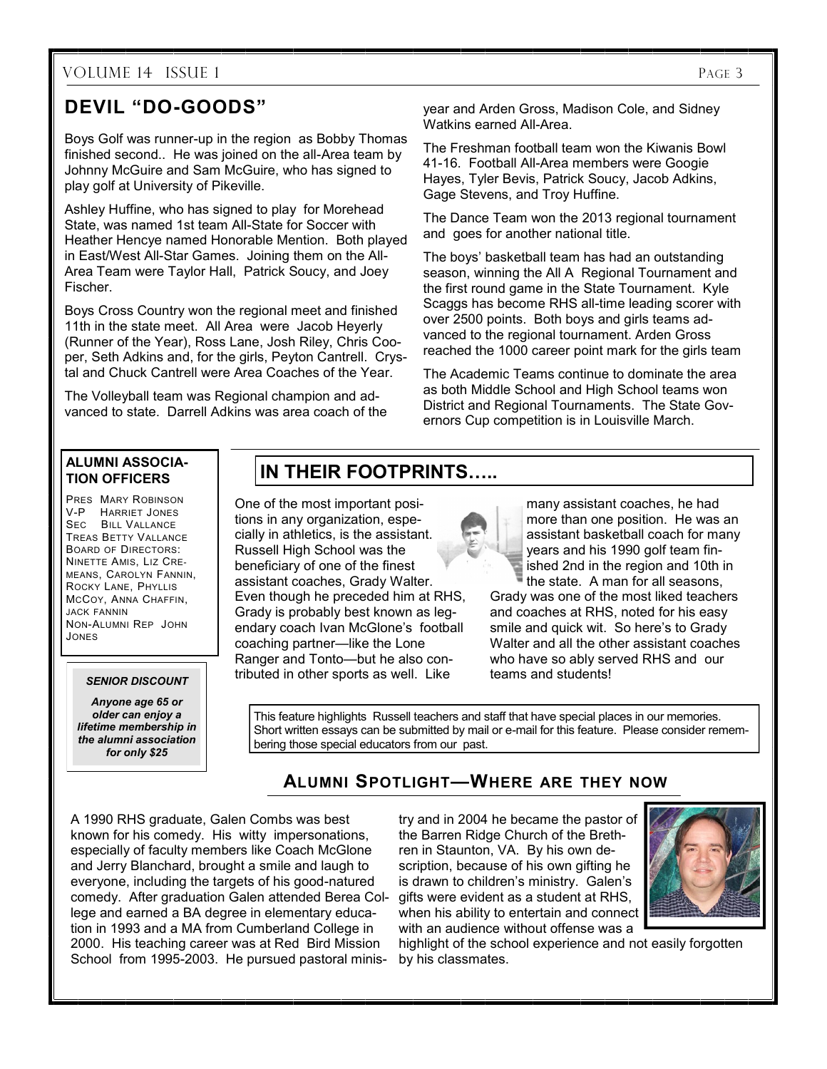#### VOLUME 14 ISSUE 1 PAGE 3

## **DEVIL "DO-GOODS"**

Boys Golf was runner-up in the region as Bobby Thomas finished second.. He was joined on the all-Area team by Johnny McGuire and Sam McGuire, who has signed to play golf at University of Pikeville.

Ashley Huffine, who has signed to play for Morehead State, was named 1st team All-State for Soccer with Heather Hencye named Honorable Mention. Both played in East/West All-Star Games. Joining them on the All-Area Team were Taylor Hall, Patrick Soucy, and Joey Fischer.

Boys Cross Country won the regional meet and finished 11th in the state meet. All Area were Jacob Heyerly (Runner of the Year), Ross Lane, Josh Riley, Chris Cooper, Seth Adkins and, for the girls, Peyton Cantrell. Crystal and Chuck Cantrell were Area Coaches of the Year.

The Volleyball team was Regional champion and advanced to state. Darrell Adkins was area coach of the year and Arden Gross, Madison Cole, and Sidney Watkins earned All-Area.

The Freshman football team won the Kiwanis Bowl 41-16. Football All-Area members were Googie Hayes, Tyler Bevis, Patrick Soucy, Jacob Adkins, Gage Stevens, and Troy Huffine.

The Dance Team won the 2013 regional tournament and goes for another national title.

The boys' basketball team has had an outstanding season, winning the All A Regional Tournament and the first round game in the State Tournament. Kyle Scaggs has become RHS all-time leading scorer with over 2500 points. Both boys and girls teams advanced to the regional tournament. Arden Gross reached the 1000 career point mark for the girls team

The Academic Teams continue to dominate the area as both Middle School and High School teams won District and Regional Tournaments. The State Governors Cup competition is in Louisville March.

#### **ALUMNI ASSOCIA-TION OFFICERS**

PRES MARY ROBINSON V-P HARRIET JONES SEC BILL VALLANCE TREAS BETTY VALLANCE BOARD OF DIRECTORS: NINETTE AMIS, LIZ CRE-MEANS, CAROLYN FANNIN, ROCKY LANE, PHYLLIS MCCOY, ANNA CHAFFIN, JACK FANNIN NON-ALUMNI REP JOHN JONES

#### *SENIOR DISCOUNT*

*Anyone age 65 or older can enjoy a lifetime membership in the alumni association for only \$25*

# **IN THEIR FOOTPRINTS…..**

One of the most important positions in any organization, especially in athletics, is the assistant. Russell High School was the beneficiary of one of the finest assistant coaches, Grady Walter. Even though he preceded him at RHS, Grady is probably best known as legendary coach Ivan McGlone's football coaching partner—like the Lone Ranger and Tonto—but he also contributed in other sports as well. Like

This feature highlights Russell teachers and staff that have special places in our memories. Short written essays can be submitted by mail or e-mail for this feature. Please consider remembering those special educators from our past.

### **ALUMNI SPOTLIGHT—WHERE ARE THEY NOW**

A 1990 RHS graduate, Galen Combs was best known for his comedy. His witty impersonations, especially of faculty members like Coach McGlone and Jerry Blanchard, brought a smile and laugh to everyone, including the targets of his good-natured comedy. After graduation Galen attended Berea College and earned a BA degree in elementary education in 1993 and a MA from Cumberland College in 2000. His teaching career was at Red Bird Mission School from 1995-2003. He pursued pastoral minis-

try and in 2004 he became the pastor of the Barren Ridge Church of the Brethren in Staunton, VA. By his own description, because of his own gifting he is drawn to children's ministry. Galen's gifts were evident as a student at RHS, when his ability to entertain and connect with an audience without offense was a



highlight of the school experience and not easily forgotten by his classmates.



the state. A man for all seasons, Grady was one of the most liked teachers and coaches at RHS, noted for his easy smile and quick wit. So here's to Grady Walter and all the other assistant coaches who have so ably served RHS and our teams and students!